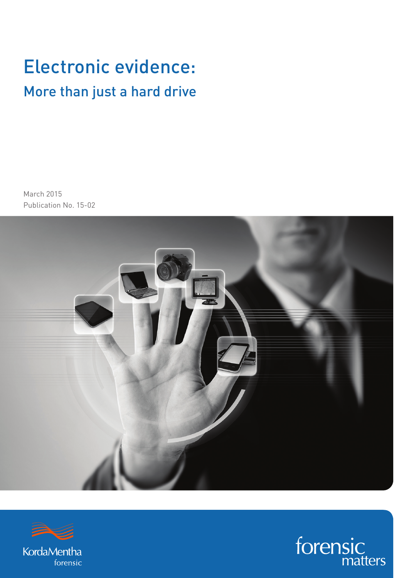## Electronic evidence: More than just a hard drive

March 2015 Publication No. 15-02





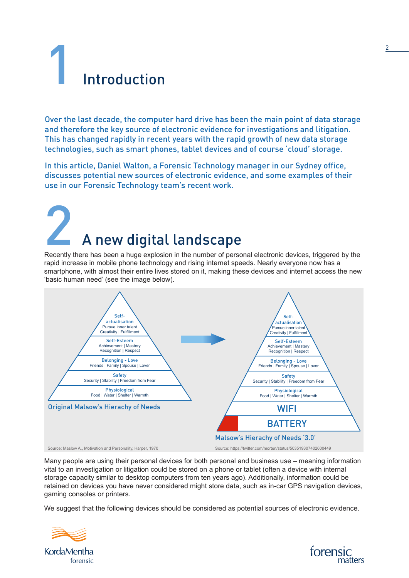# **Introduction**

Over the last decade, the computer hard drive has been the main point of data storage and therefore the key source of electronic evidence for investigations and litigation. This has changed rapidly in recent years with the rapid growth of new data storage technologies, such as smart phones, tablet devices and of course 'cloud' storage.

In this article, Daniel Walton, a Forensic Technology manager in our Sydney office, discusses potential new sources of electronic evidence, and some examples of their use in our Forensic Technology team's recent work.

# A new digital landscape

Recently there has been a huge explosion in the number of personal electronic devices, triggered by the rapid increase in mobile phone technology and rising internet speeds. Nearly everyone now has a smartphone, with almost their entire lives stored on it, making these devices and internet access the new 'basic human need' (see the image below).



Many people are using their personal devices for both personal and business use – meaning information vital to an investigation or litigation could be stored on a phone or tablet (often a device with internal storage capacity similar to desktop computers from ten years ago). Additionally, information could be retained on devices you have never considered might store data, such as in-car GPS navigation devices, gaming consoles or printers.

We suggest that the following devices should be considered as potential sources of electronic evidence.



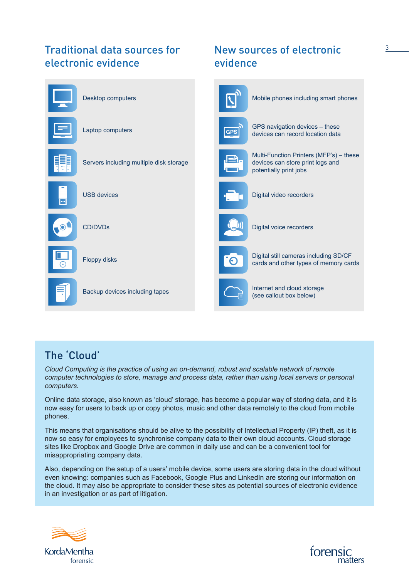## Traditional data sources for  $\sim$  New sources of electronic  $\sim$   $\sim$   $\sim$   $\sim$ electronic evidence



## New sources of electronic evidence



(see callout box below)

## The 'Cloud'

*Cloud Computing is the practice of using an on-demand, robust and scalable network of remote computer technologies to store, manage and process data, rather than using local servers or personal computers.*

Online data storage, also known as 'cloud' storage, has become a popular way of storing data, and it is now easy for users to back up or copy photos, music and other data remotely to the cloud from mobile phones.

This means that organisations should be alive to the possibility of Intellectual Property (IP) theft, as it is now so easy for employees to synchronise company data to their own cloud accounts. Cloud storage sites like Dropbox and Google Drive are common in daily use and can be a convenient tool for misappropriating company data.

Also, depending on the setup of a users' mobile device, some users are storing data in the cloud without even knowing: companies such as Facebook, Google Plus and LinkedIn are storing our information on the cloud. It may also be appropriate to consider these sites as potential sources of electronic evidence in an investigation or as part of litigation.



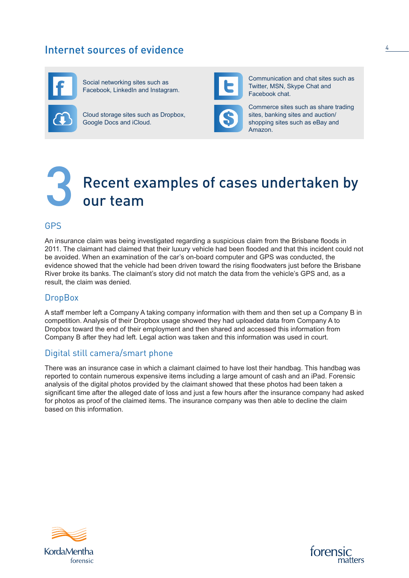## Internet sources of evidence



Social networking sites such as Facebook, LinkedIn and Instagram.

Cloud storage sites such as Dropbox, Google Docs and iCloud.



Communication and chat sites such as Twitter, MSN, Skype Chat and Facebook chat.

Commerce sites such as share trading sites, banking sites and auction/ shopping sites such as eBay and Amazon.

## Recent examples of cases undertaken by<br>our team

#### GPS

An insurance claim was being investigated regarding a suspicious claim from the Brisbane floods in 2011. The claimant had claimed that their luxury vehicle had been flooded and that this incident could not be avoided. When an examination of the car's on-board computer and GPS was conducted, the evidence showed that the vehicle had been driven toward the rising floodwaters just before the Brisbane River broke its banks. The claimant's story did not match the data from the vehicle's GPS and, as a result, the claim was denied.

#### **DropBox**

A staff member left a Company A taking company information with them and then set up a Company B in competition. Analysis of their Dropbox usage showed they had uploaded data from Company A to Dropbox toward the end of their employment and then shared and accessed this information from Company B after they had left. Legal action was taken and this information was used in court.

#### Digital still camera/smart phone

There was an insurance case in which a claimant claimed to have lost their handbag. This handbag was reported to contain numerous expensive items including a large amount of cash and an iPad. Forensic analysis of the digital photos provided by the claimant showed that these photos had been taken a significant time after the alleged date of loss and just a few hours after the insurance company had asked for photos as proof of the claimed items. The insurance company was then able to decline the claim based on this information.



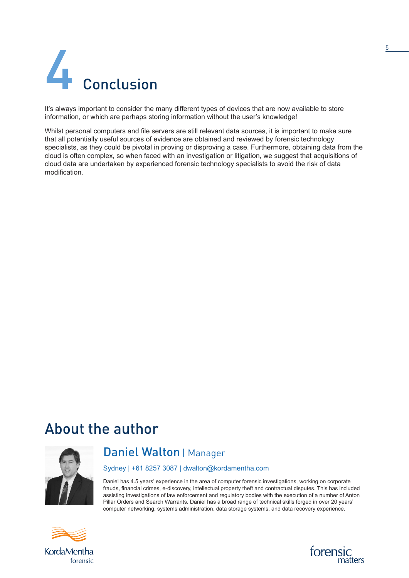

It's always important to consider the many different types of devices that are now available to store information, or which are perhaps storing information without the user's knowledge!

Whilst personal computers and file servers are still relevant data sources, it is important to make sure that all potentially useful sources of evidence are obtained and reviewed by forensic technology specialists, as they could be pivotal in proving or disproving a case. Furthermore, obtaining data from the cloud is often complex, so when faced with an investigation or litigation, we suggest that acquisitions of cloud data are undertaken by experienced forensic technology specialists to avoid the risk of data modification.

## About the author



### Daniel Walton | Manager

Sydney | +61 8257 3087 | dwalton@kordamentha.com

Daniel has 4.5 years' experience in the area of computer forensic investigations, working on corporate frauds, financial crimes, e-discovery, intellectual property theft and contractual disputes. This has included assisting investigations of law enforcement and regulatory bodies with the execution of a number of Anton Pillar Orders and Search Warrants. Daniel has a broad range of technical skills forged in over 20 years' computer networking, systems administration, data storage systems, and data recovery experience.